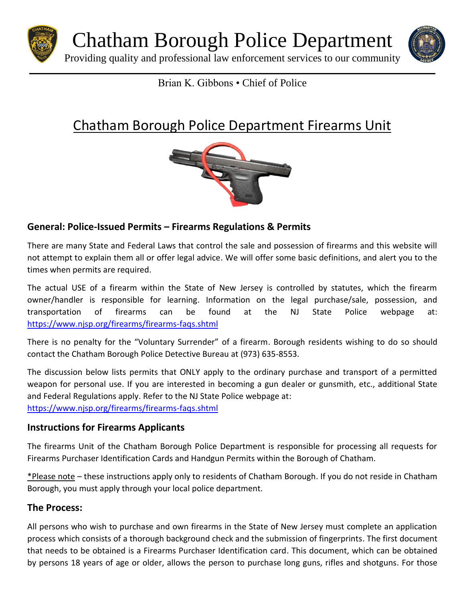

Chatham Borough Police Department

Providing quality and professional law enforcement services to our community



## Brian K. Gibbons • Chief of Police

# Chatham Borough Police Department Firearms Unit



### **General: Police-Issued Permits – Firearms Regulations & Permits**

There are many State and Federal Laws that control the sale and possession of firearms and this website will not attempt to explain them all or offer legal advice. We will offer some basic definitions, and alert you to the times when permits are required.

The actual USE of a firearm within the State of New Jersey is controlled by statutes, which the firearm owner/handler is responsible for learning. Information on the legal purchase/sale, possession, and transportation of firearms can be found at the NJ State Police webpage at: <https://www.njsp.org/firearms/firearms-faqs.shtml>

There is no penalty for the "Voluntary Surrender" of a firearm. Borough residents wishing to do so should contact the Chatham Borough Police Detective Bureau at (973) 635-8553.

The discussion below lists permits that ONLY apply to the ordinary purchase and transport of a permitted weapon for personal use. If you are interested in becoming a gun dealer or gunsmith, etc., additional State and Federal Regulations apply. Refer to the NJ State Police webpage at: <https://www.njsp.org/firearms/firearms-faqs.shtml>

#### **Instructions for Firearms Applicants**

The firearms Unit of the Chatham Borough Police Department is responsible for processing all requests for Firearms Purchaser Identification Cards and Handgun Permits within the Borough of Chatham.

\*Please note – these instructions apply only to residents of Chatham Borough. If you do not reside in Chatham Borough, you must apply through your local police department.

#### **The Process:**

All persons who wish to purchase and own firearms in the State of New Jersey must complete an application process which consists of a thorough background check and the submission of fingerprints. The first document that needs to be obtained is a Firearms Purchaser Identification card. This document, which can be obtained by persons 18 years of age or older, allows the person to purchase long guns, rifles and shotguns. For those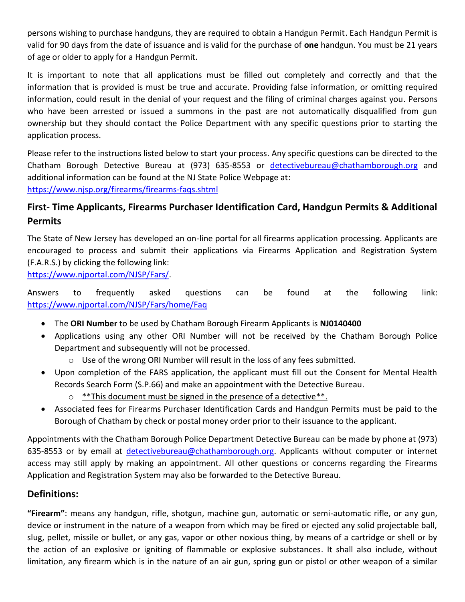persons wishing to purchase handguns, they are required to obtain a Handgun Permit. Each Handgun Permit is valid for 90 days from the date of issuance and is valid for the purchase of **one** handgun. You must be 21 years of age or older to apply for a Handgun Permit.

It is important to note that all applications must be filled out completely and correctly and that the information that is provided is must be true and accurate. Providing false information, or omitting required information, could result in the denial of your request and the filing of criminal charges against you. Persons who have been arrested or issued a summons in the past are not automatically disqualified from gun ownership but they should contact the Police Department with any specific questions prior to starting the application process.

Please refer to the instructions listed below to start your process. Any specific questions can be directed to the Chatham Borough Detective Bureau at (973) 635-8553 or [detectivebureau@chathamborough.org](mailto:detectivebureau@chathamborough.org) and additional information can be found at the NJ State Police Webpage at: <https://www.njsp.org/firearms/firearms-faqs.shtml>

## **First- Time Applicants, Firearms Purchaser Identification Card, Handgun Permits & Additional Permits**

The State of New Jersey has developed an on-line portal for all firearms application processing. Applicants are encouraged to process and submit their applications via Firearms Application and Registration System (F.A.R.S.) by clicking the following link:

[https://www.njportal.com/NJSP/Fars/.](https://www.njportal.com/NJSP/Fars/)

Answers to frequently asked questions can be found at the following link: <https://www.njportal.com/NJSP/Fars/home/Faq>

- The **ORI Number** to be used by Chatham Borough Firearm Applicants is **NJ0140400**
- Applications using any other ORI Number will not be received by the Chatham Borough Police Department and subsequently will not be processed.
	- $\circ$  Use of the wrong ORI Number will result in the loss of any fees submitted.
- Upon completion of the FARS application, the applicant must fill out the Consent for Mental Health Records Search Form (S.P.66) and make an appointment with the Detective Bureau.
	- $\circ$  \*\*This document must be signed in the presence of a detective \*\*.
- Associated fees for Firearms Purchaser Identification Cards and Handgun Permits must be paid to the Borough of Chatham by check or postal money order prior to their issuance to the applicant.

Appointments with the Chatham Borough Police Department Detective Bureau can be made by phone at (973) 635-8553 or by email at [detectivebureau@chathamborough.org.](mailto:detectivebureau@chathamborough.org) Applicants without computer or internet access may still apply by making an appointment. All other questions or concerns regarding the Firearms Application and Registration System may also be forwarded to the Detective Bureau.

#### **Definitions:**

**"Firearm"**: means any handgun, rifle, shotgun, machine gun, automatic or semi-automatic rifle, or any gun, device or instrument in the nature of a weapon from which may be fired or ejected any solid projectable ball, slug, pellet, missile or bullet, or any gas, vapor or other noxious thing, by means of a cartridge or shell or by the action of an explosive or igniting of flammable or explosive substances. It shall also include, without limitation, any firearm which is in the nature of an air gun, spring gun or pistol or other weapon of a similar